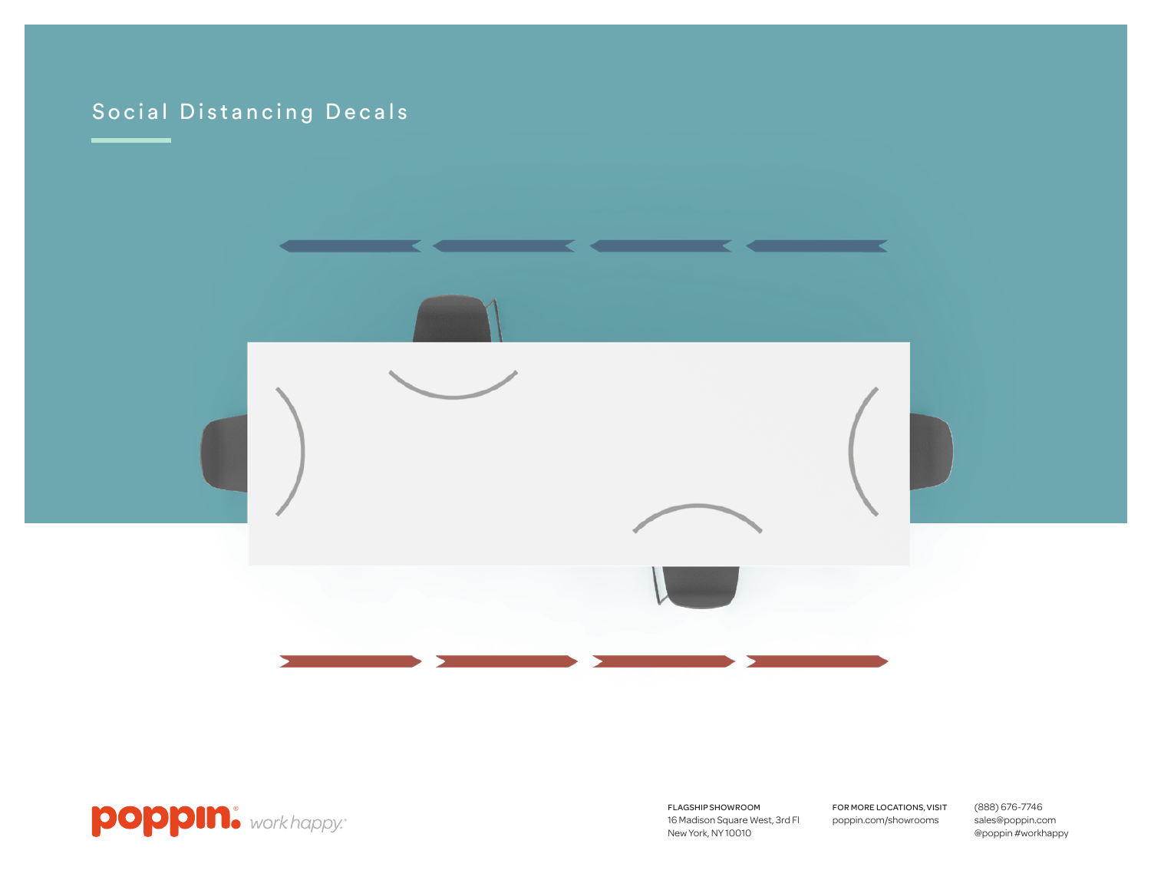# Social Distancing Decals





FLAGSHIP SHOWROOM 16 Madison Square West, 3rd Fl New York, NY 10010

FOR MORE LOCATIONS, VISIT poppin.com/showrooms

(888) 676-7746 sales@poppin.com @poppin #workhappy